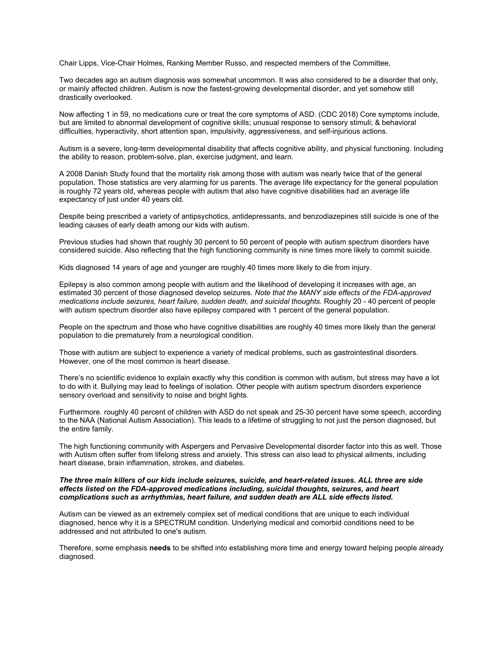Chair Lipps, Vice-Chair Holmes, Ranking Member Russo, and respected members of the Committee,

Two decades ago an autism diagnosis was somewhat uncommon. It was also considered to be a disorder that only, or mainly affected children. Autism is now the fastest-growing developmental disorder, and yet somehow still drastically overlooked.

Now affecting 1 in 59, no medications cure or treat the core symptoms of ASD. (CDC 2018) Core symptoms include, but are limited to abnormal development of cognitive skills; unusual response to sensory stimuli; & behavioral difficulties, hyperactivity, short attention span, impulsivity, aggressiveness, and self-injurious actions.

Autism is a severe, long-term developmental disability that affects cognitive ability, and physical functioning. Including the ability to reason, problem-solve, plan, exercise judgment, and learn.

A 2008 Danish Study found that the mortality risk among those with autism was nearly twice that of the general population. Those statistics are very alarming for us parents. The average life expectancy for the general population is roughly 72 years old, whereas people with autism that also have cognitive disabilities had an average life expectancy of just under 40 years old.

Despite being prescribed a variety of antipsychotics, antidepressants, and benzodiazepines still suicide is one of the leading causes of early death among our kids with autism.

Previous studies had shown that roughly 30 percent to 50 percent of people with autism spectrum disorders have considered suicide. Also reflecting that the high functioning community is nine times more likely to commit suicide.

Kids diagnosed 14 years of age and younger are roughly 40 times more likely to die from injury.

Epilepsy is also common among people with autism and the likelihood of developing it increases with age, an estimated 30 percent of those diagnosed develop seizures. *Note that the MANY side effects of the FDA-approved medications include seizures, heart failure, sudden death, and suicidal thoughts.* Roughly 20 - 40 percent of people with autism spectrum disorder also have epilepsy compared with 1 percent of the general population.

People on the spectrum and those who have cognitive disabilities are roughly 40 times more likely than the general population to die prematurely from a neurological condition.

Those with autism are subject to experience a variety of medical problems, such as gastrointestinal disorders. However, one of the most common is heart disease.

There's no scientific evidence to explain exactly why this condition is common with autism, but stress may have a lot to do with it. Bullying may lead to feelings of isolation. Other people with autism spectrum disorders experience sensory overload and sensitivity to noise and bright lights.

Furthermore. roughly 40 percent of children with ASD do not speak and 25-30 percent have some speech, according to the NAA (National Autism Association). This leads to a lifetime of struggling to not just the person diagnosed, but the entire family.

The high functioning community with Aspergers and Pervasive Developmental disorder factor into this as well. Those with Autism often suffer from lifelong stress and anxiety. This stress can also lead to physical ailments, including heart disease, brain inflammation, strokes, and diabetes.

# *The three main killers of our kids include seizures, suicide, and heart-related issues. ALL three are side effects listed on the FDA-approved medications including, suicidal thoughts, seizures, and heart complications such as arrhythmias, heart failure, and sudden death are ALL side effects listed.*

Autism can be viewed as an extremely complex set of medical conditions that are unique to each individual diagnosed, hence why it is a SPECTRUM condition. Underlying medical and comorbid conditions need to be addressed and not attributed to one's autism.

Therefore, some emphasis **needs** to be shifted into establishing more time and energy toward helping people already diagnosed.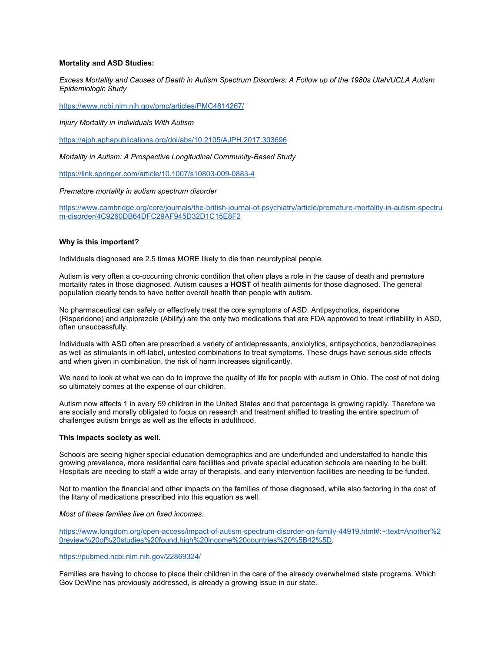# **Mortality and ASD Studies:**

*Excess Mortality and Causes of Death in Autism Spectrum Disorders: A Follow up of the 1980s Utah/UCLA Autism Epidemiologic Study*

<https://www.ncbi.nlm.nih.gov/pmc/articles/PMC4814267/>

*Injury Mortality in Individuals With Autism*

<https://ajph.aphapublications.org/doi/abs/10.2105/AJPH.2017.303696>

*Mortality in Autism: A Prospective Longitudinal Community-Based Study*

<https://link.springer.com/article/10.1007/s10803-009-0883-4>

# *Premature mortality in autism spectrum disorder*

[https://www.cambridge.org/core/journals/the-british-journal-of-psychiatry/article/premature-mortality-in-autism-spectru](https://www.cambridge.org/core/journals/the-british-journal-of-psychiatry/article/premature-mortality-in-autism-spectrum-disorder/4C9260DB64DFC29AF945D32D1C15E8F2) [m-disorder/4C9260DB64DFC29AF945D32D1C15E8F2](https://www.cambridge.org/core/journals/the-british-journal-of-psychiatry/article/premature-mortality-in-autism-spectrum-disorder/4C9260DB64DFC29AF945D32D1C15E8F2)

# **Why is this important?**

Individuals diagnosed are 2.5 times MORE likely to die than neurotypical people.

Autism is very often a co-occurring chronic condition that often plays a role in the cause of death and premature mortality rates in those diagnosed. Autism causes a **HOST** of health ailments for those diagnosed. The general population clearly tends to have better overall health than people with autism.

No pharmaceutical can safely or effectively treat the core symptoms of ASD. Antipsychotics, risperidone (Risperidone) and aripiprazole (Abilify) are the only two medications that are FDA approved to treat irritability in ASD, often unsuccessfully.

Individuals with ASD often are prescribed a variety of antidepressants, anxiolytics, antipsychotics, benzodiazepines as well as stimulants in off-label, untested combinations to treat symptoms. These drugs have serious side effects and when given in combination, the risk of harm increases significantly.

We need to look at what we can do to improve the quality of life for people with autism in Ohio. The cost of not doing so ultimately comes at the expense of our children.

Autism now affects 1 in every 59 children in the United States and that percentage is growing rapidly. Therefore we are socially and morally obligated to focus on research and treatment shifted to treating the entire spectrum of challenges autism brings as well as the effects in adulthood.

# **This impacts society as well.**

Schools are seeing higher special education demographics and are underfunded and understaffed to handle this growing prevalence, more residential care facilities and private special education schools are needing to be built. Hospitals are needing to staff a wide array of therapists, and early intervention facilities are needing to be funded.

Not to mention the financial and other impacts on the families of those diagnosed, while also factoring in the cost of the litany of medications prescribed into this equation as well.

# *Most of these families live on fixed incomes.*

[https://www.longdom.org/open-access/impact-of-autism-spectrum-disorder-on-family-44919.html#:~:text=Another%2](https://www.longdom.org/open-access/impact-of-autism-spectrum-disorder-on-family-44919.html#:~:text=Another%20review%20of%20studies%20found,high%20income%20countries%20%5B42%5D) [0review%20of%20studies%20found,high%20income%20countries%20%5B42%5D.](https://www.longdom.org/open-access/impact-of-autism-spectrum-disorder-on-family-44919.html#:~:text=Another%20review%20of%20studies%20found,high%20income%20countries%20%5B42%5D)

# <https://pubmed.ncbi.nlm.nih.gov/22869324/>

Families are having to choose to place their children in the care of the already overwhelmed state programs. Which Gov DeWine has previously addressed, is already a growing issue in our state.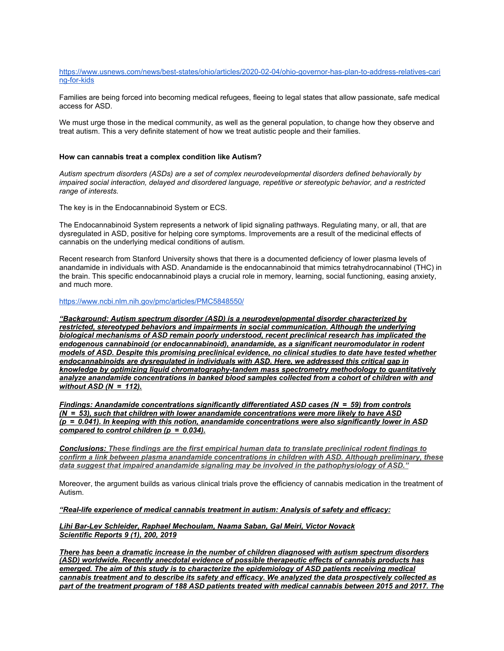[https://www.usnews.com/news/best-states/ohio/articles/2020-02-04/ohio-governor-has-plan-to-address-relatives-cari](https://www.usnews.com/news/best-states/ohio/articles/2020-02-04/ohio-governor-has-plan-to-address-relatives-caring-for-kids) [ng-for-kids](https://www.usnews.com/news/best-states/ohio/articles/2020-02-04/ohio-governor-has-plan-to-address-relatives-caring-for-kids)

Families are being forced into becoming medical refugees, fleeing to legal states that allow passionate, safe medical access for ASD.

We must urge those in the medical community, as well as the general population, to change how they observe and treat autism. This a very definite statement of how we treat autistic people and their families.

### **How can cannabis treat a complex condition like Autism?**

*Autism spectrum disorders (ASDs) are a set of complex neurodevelopmental disorders defined behaviorally by impaired social interaction, delayed and disordered language, repetitive or stereotypic behavior, and a restricted range of interests.*

The key is in the Endocannabinoid System or ECS.

The Endocannabinoid System represents a network of lipid signaling pathways. Regulating many, or all, that are dysregulated in ASD, positive for helping core symptoms. Improvements are a result of the medicinal effects of cannabis on the underlying medical conditions of autism.

Recent research from Stanford University shows that there is a documented deficiency of lower plasma levels of anandamide in individuals with ASD. Anandamide is the endocannabinoid that mimics tetrahydrocannabinol (THC) in the brain. This specific endocannabinoid plays a crucial role in memory, learning, social functioning, easing anxiety, and much more.

#### <https://www.ncbi.nlm.nih.gov/pmc/articles/PMC5848550/>

*"Background: Autism spectrum disorder (ASD) is a neurodevelopmental disorder characterized by restricted, stereotyped behaviors and impairments in social communication. Although the underlying biological mechanisms of ASD remain poorly understood, recent preclinical research has implicated the endogenous cannabinoid (or endocannabinoid), anandamide, as a significant neuromodulator in rodent models of ASD. Despite this promising preclinical evidence, no clinical studies to date have tested whether endocannabinoids are dysregulated in individuals with ASD. Here, we addressed this critical gap in knowledge by optimizing liquid chromatography-tandem mass spectrometry methodology to quantitatively analyze anandamide concentrations in banked blood samples collected from a cohort of children with and without ASD (N = 112).*

*Findings: Anandamide concentrations significantly differentiated ASD cases (N = 59) from controls (N = 53), such that children with lower anandamide concentrations were more likely to have ASD (p = 0.041). In keeping with this notion, anandamide concentrations were also significantly lower in ASD compared to control children (p = 0.034).*

*Conclusions: These findings are the first empirical human data to translate preclinical rodent findings to confirm a link between plasma anandamide concentrations in children with ASD. Although preliminary, these data suggest that impaired anandamide signaling may be involved in the pathophysiology of ASD."*

Moreover, the argument builds as various clinical trials prove the efficiency of cannabis medication in the treatment of Autism.

*"Real-life experience of medical cannabis treatment in autism: Analysis of safety and efficacy:*

*Lihi Bar-Lev Schleider, Raphael Mechoulam, Naama Saban, Gal Meiri, Victor Novack Scientific Reports 9 (1), 200, 2019*

*There has been a dramatic increase in the number of children diagnosed with autism spectrum disorders (ASD) worldwide. Recently anecdotal evidence of possible therapeutic effects of cannabis products has emerged. The aim of this study is to characterize the epidemiology of ASD patients receiving medical cannabis treatment and to describe its safety and efficacy. We analyzed the data prospectively collected as part of the treatment program of 188 ASD patients treated with medical cannabis between 2015 and 2017. The*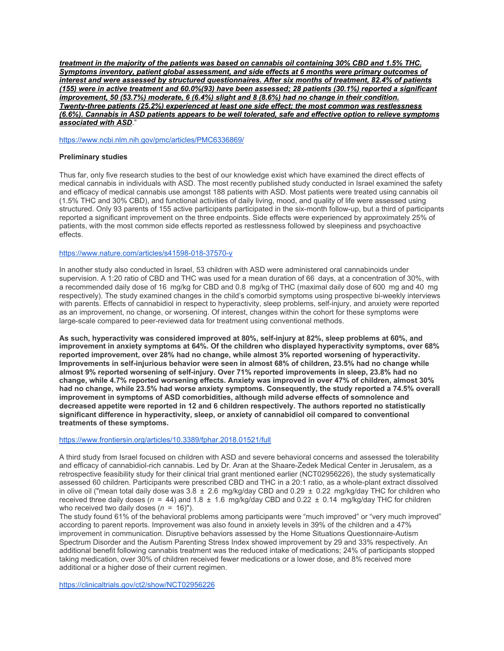*treatment in the majority of the patients was based on cannabis oil containing 30% CBD and 1.5% THC. Symptoms inventory, patient global assessment, and side effects at 6 months were primary outcomes of interest and were assessed by structured questionnaires. After six months of treatment, 82.4% of patients (155) were in active treatment and 60.0%(93) have been assessed; 28 patients (30.1%) reported a significant improvement, 50 (53.7%) moderate, 6 (6.4%) slight and 8 (8.6%) had no change in their condition. Twenty-three patients (25.2%) experienced at least one side effect; the most common was restlessness (6.6%). Cannabis in ASD patients appears to be well tolerated, safe and effective option to relieve symptoms associated with ASD*."

[https://www.ncbi.nlm.nih.gov/pmc/articles/PMC6336869/](https://l.facebook.com/l.php?u=https%3A%2F%2Fwww.ncbi.nlm.nih.gov%2Fpmc%2Farticles%2FPMC6336869%2F%3Ffbclid%3DIwAR028bT0Z_oUprHQ4WqsE5SMJQRSrPGIf_uEBK05kKrz7pCEqpjVRJMjWb4&h=AT2YZF21Vsb0iXBLROl4h7NxIP0hxS-QKEj8AsvG43_cxpK3XLmJFHuZDIsYSncGGrP9EtmdyrkQgcs961gzzO52Yks5PtiFqcIG6AXv27s2KeNc3B-YA8fRh-BNpzYgocUujsuf8D5bJVjYcQ&__tn__=-UK*F)

# **Preliminary studies**

Thus far, only five research studies to the best of our knowledge exist which have examined the direct effects of medical cannabis in individuals with ASD. The most recently published study conducted in Israel examined the safety and efficacy of medical cannabis use amongst 188 patients with ASD. Most patients were treated using cannabis oil (1.5% THC and 30% CBD), and functional activities of daily living, mood, and quality of life were assessed using structured. Only 93 parents of 155 active participants participated in the six-month follow-up, but a third of participants reported a significant improvement on the three endpoints. Side effects were experienced by approximately 25% of patients, with the most common side effects reported as restlessness followed by sleepiness and psychoactive effects.

# <https://www.nature.com/articles/s41598-018-37570-y>

In another study also conducted in Israel, 53 children with ASD were administered oral cannabinoids under supervision. A 1:20 ratio of CBD and THC was used for a mean duration of 66 days, at a concentration of 30%, with a recommended daily dose of 16 mg/kg for CBD and 0.8 mg/kg of THC (maximal daily dose of 600 mg and 40 mg respectively). The study examined changes in the child's comorbid symptoms using prospective bi-weekly interviews with parents. Effects of cannabidiol in respect to hyperactivity, sleep problems, self-injury, and anxiety were reported as an improvement, no change, or worsening. Of interest, changes within the cohort for these symptoms were large-scale compared to peer-reviewed data for treatment using conventional methods.

**As such, hyperactivity was considered improved at 80%, self-injury at 82%, sleep problems at 60%, and improvement in anxiety symptoms at 64%. Of the children who displayed hyperactivity symptoms, over 68% reported improvement, over 28% had no change, while almost 3% reported worsening of hyperactivity. Improvements in self-injurious behavior were seen in almost 68% of children, 23.5% had no change while almost 9% reported worsening of self-injury. Over 71% reported improvements in sleep, 23.8% had no change, while 4.7% reported worsening effects. Anxiety was improved in over 47% of children, almost 30% had no change, while 23.5% had worse anxiety symptoms. Consequently, the study reported a 74.5% overall improvement in symptoms of ASD comorbidities, although mild adverse effects of somnolence and decreased appetite were reported in 12 and 6 children respectively. The authors reported no statistically significant difference in hyperactivity, sleep, or anxiety of cannabidiol oil compared to conventional treatments of these symptoms.**

# <https://www.frontiersin.org/articles/10.3389/fphar.2018.01521/full>

A third study from Israel focused on children with ASD and severe behavioral concerns and assessed the tolerability and efficacy of cannabidiol-rich cannabis. Led by Dr. Aran at the Shaare-Zedek Medical Center in Jerusalem, as a retrospective feasibility study for their clinical trial grant mentioned earlier (NCT02956226), the study systematically assessed 60 children. Participants were prescribed CBD and THC in a 20:1 ratio, as a whole-plant extract dissolved in olive oil ("mean total daily dose was  $3.8 \pm 2.6$  mg/kg/day CBD and  $0.29 \pm 0.22$  mg/kg/day THC for children who received three daily doses ( $n = 44$ ) and 1.8  $\pm$  1.6 mg/kg/day CBD and 0.22  $\pm$  0.14 mg/kg/day THC for children who received two daily doses (*n* = 16)").

The study found 61% of the behavioral problems among participants were "much improved" or "very much improved" according to parent reports. Improvement was also found in anxiety levels in 39% of the children and a 47% improvement in communication. Disruptive behaviors assessed by the Home Situations Questionnaire-Autism Spectrum Disorder and the Autism Parenting Stress Index showed improvement by 29 and 33% respectively. An additional benefit following cannabis treatment was the reduced intake of medications; 24% of participants stopped taking medication, over 30% of children received fewer medications or a lower dose, and 8% received more additional or a higher dose of their current regimen.

<https://clinicaltrials.gov/ct2/show/NCT02956226>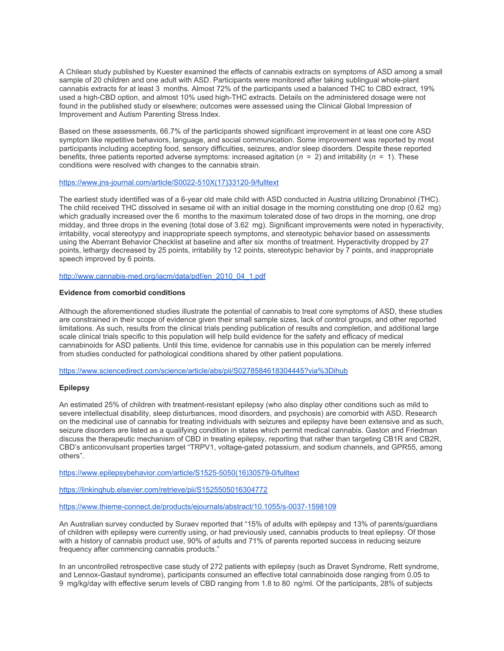A Chilean study published by Kuester examined the effects of cannabis extracts on symptoms of ASD among a small sample of 20 children and one adult with ASD. Participants were monitored after taking sublingual whole-plant cannabis extracts for at least 3 months. Almost 72% of the participants used a balanced THC to CBD extract, 19% used a high-CBD option, and almost 10% used high-THC extracts. Details on the administered dosage were not found in the published study or elsewhere; outcomes were assessed using the Clinical Global Impression of Improvement and Autism Parenting Stress Index.

Based on these assessments, 66.7% of the participants showed significant improvement in at least one core ASD symptom like repetitive behaviors, language, and social communication. Some improvement was reported by most participants including accepting food, sensory difficulties, seizures, and/or sleep disorders. Despite these reported benefits, three patients reported adverse symptoms: increased agitation  $(n = 2)$  and irritability  $(n = 1)$ . These conditions were resolved with changes to the cannabis strain.

#### [https://www.jns-journal.com/article/S0022-510X\(17\)33120-9/fulltext](https://www.jns-journal.com/article/S0022-510X(17)33120-9/fulltext)

The earliest study identified was of a 6-year old male child with ASD conducted in Austria utilizing Dronabinol (THC). The child received THC dissolved in sesame oil with an initial dosage in the morning constituting one drop (0.62 mg) which gradually increased over the 6 months to the maximum tolerated dose of two drops in the morning, one drop midday, and three drops in the evening (total dose of 3.62 mg). Significant improvements were noted in hyperactivity, irritability, vocal stereotypy and inappropriate speech symptoms, and stereotypic behavior based on assessments using the Aberrant Behavior Checklist at baseline and after six months of treatment. Hyperactivity dropped by 27 points, lethargy decreased by 25 points, irritability by 12 points, stereotypic behavior by 7 points, and inappropriate speech improved by 6 points.

[http://www.cannabis-med.org/iacm/data/pdf/en\\_2010\\_04\\_1.pdf](http://www.cannabis-med.org/iacm/data/pdf/en_2010_04_1.pdf)

### **Evidence from comorbid conditions**

Although the aforementioned studies illustrate the potential of cannabis to treat core symptoms of ASD, these studies are constrained in their scope of evidence given their small sample sizes, lack of control groups, and other reported limitations. As such, results from the clinical trials pending publication of results and completion, and additional large scale clinical trials specific to this population will help build evidence for the safety and efficacy of medical cannabinoids for ASD patients. Until this time, evidence for cannabis use in this population can be merely inferred from studies conducted for pathological conditions shared by other patient populations.

<https://www.sciencedirect.com/science/article/abs/pii/S0278584618304445?via%3Dihub>

# **Epilepsy**

An estimated 25% of children with treatment-resistant epilepsy (who also display other conditions such as mild to severe intellectual disability, sleep disturbances, mood disorders, and psychosis) are comorbid with ASD. Research on the medicinal use of cannabis for treating individuals with seizures and epilepsy have been extensive and as such, seizure disorders are listed as a qualifying condition in states which permit medical cannabis. Gaston and Friedman discuss the therapeutic mechanism of CBD in treating epilepsy, reporting that rather than targeting CB1R and CB2R, CBD's anticonvulsant properties target "TRPV1, voltage-gated potassium, and sodium channels, and GPR55, among others".

[https://www.epilepsybehavior.com/article/S1525-5050\(16\)30579-0/fulltext](https://www.epilepsybehavior.com/article/S1525-5050(16)30579-0/fulltext)

<https://linkinghub.elsevier.com/retrieve/pii/S1525505016304772>

<https://www.thieme-connect.de/products/ejournals/abstract/10.1055/s-0037-1598109>

An Australian survey conducted by Suraev reported that "15% of adults with epilepsy and 13% of parents/guardians of children with epilepsy were currently using, or had previously used, cannabis products to treat epilepsy. Of those with a history of cannabis product use, 90% of adults and 71% of parents reported success in reducing seizure frequency after commencing cannabis products."

In an uncontrolled retrospective case study of 272 patients with epilepsy (such as Dravet Syndrome, Rett syndrome, and Lennox-Gastaut syndrome), participants consumed an effective total cannabinoids dose ranging from 0.05 to 9 mg/kg/day with effective serum levels of CBD ranging from 1.8 to 80 ng/ml. Of the participants, 28% of subjects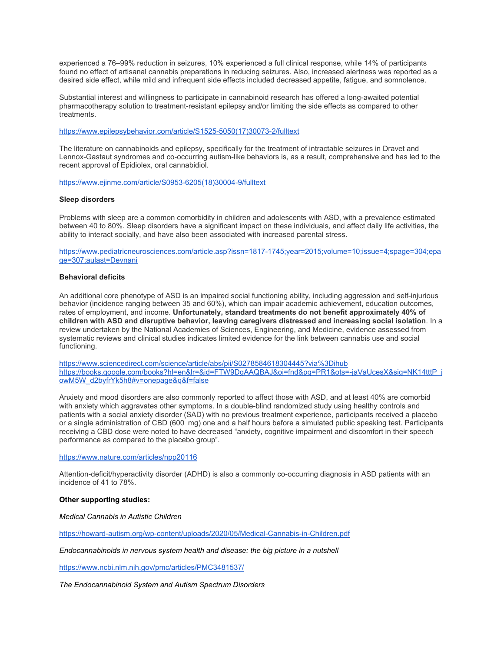experienced a 76–99% reduction in seizures, 10% experienced a full clinical response, while 14% of participants found no effect of artisanal cannabis preparations in reducing seizures. Also, increased alertness was reported as a desired side effect, while mild and infrequent side effects included decreased appetite, fatigue, and somnolence.

Substantial interest and willingness to participate in cannabinoid research has offered a long-awaited potential pharmacotherapy solution to treatment-resistant epilepsy and/or limiting the side effects as compared to other treatments.

[https://www.epilepsybehavior.com/article/S1525-5050\(17\)30073-2/fulltext](https://www.epilepsybehavior.com/article/S1525-5050(17)30073-2/fulltext)

The literature on cannabinoids and epilepsy, specifically for the treatment of intractable seizures in Dravet and Lennox-Gastaut syndromes and co-occurring autism-like behaviors is, as a result, comprehensive and has led to the recent approval of Epidiolex, oral cannabidiol.

[https://www.ejinme.com/article/S0953-6205\(18\)30004-9/fulltext](https://www.ejinme.com/article/S0953-6205(18)30004-9/fulltext)

### **Sleep disorders**

Problems with sleep are a common comorbidity in children and adolescents with ASD, with a prevalence estimated between 40 to 80%. Sleep disorders have a significant impact on these individuals, and affect daily life activities, the ability to interact socially, and have also been associated with increased parental stress.

[https://www.pediatricneurosciences.com/article.asp?issn=1817-1745;year=2015;volume=10;issue=4;spage=304;epa](https://www.pediatricneurosciences.com/article.asp?issn=1817-1745;year=2015;volume=10;issue=4;spage=304;epage=307;aulast=Devnani) [ge=307;aulast=Devnani](https://www.pediatricneurosciences.com/article.asp?issn=1817-1745;year=2015;volume=10;issue=4;spage=304;epage=307;aulast=Devnani)

## **Behavioral deficits**

An additional core phenotype of ASD is an impaired social functioning ability, including aggression and self-injurious behavior (incidence ranging between 35 and 60%), which can impair academic achievement, education outcomes, rates of employment, and income. **Unfortunately, standard treatments do not benefit approximately 40% of children with ASD and disruptive behavior, leaving caregivers distressed and increasing social isolation**. In a review undertaken by the National Academies of Sciences, Engineering, and Medicine, evidence assessed from systematic reviews and clinical studies indicates limited evidence for the link between cannabis use and social functioning.

<https://www.sciencedirect.com/science/article/abs/pii/S0278584618304445?via%3Dihub> [https://books.google.com/books?hl=en&lr=&id=FTW9DgAAQBAJ&oi=fnd&pg=PR1&ots=-jaVaUcesX&sig=NK14tttP\\_j](https://books.google.com/books?hl=en&lr=&id=FTW9DgAAQBAJ&oi=fnd&pg=PR1&ots=-jaVaUcesX&sig=NK14tttP_jowM5W_d2byfrYk5h8#v=onepage&q&f=false) [owM5W\\_d2byfrYk5h8#v=onepage&q&f=false](https://books.google.com/books?hl=en&lr=&id=FTW9DgAAQBAJ&oi=fnd&pg=PR1&ots=-jaVaUcesX&sig=NK14tttP_jowM5W_d2byfrYk5h8#v=onepage&q&f=false)

Anxiety and mood disorders are also commonly reported to affect those with ASD, and at least 40% are comorbid with anxiety which aggravates other symptoms. In a double-blind randomized study using healthy controls and patients with a social anxiety disorder (SAD) with no previous treatment experience, participants received a placebo or a single administration of CBD (600 mg) one and a half hours before a simulated public speaking test. Participants receiving a CBD dose were noted to have decreased "anxiety, cognitive impairment and discomfort in their speech performance as compared to the placebo group".

<https://www.nature.com/articles/npp20116>

Attention-deficit/hyperactivity disorder (ADHD) is also a commonly co-occurring diagnosis in ASD patients with an incidence of 41 to 78%.

# **Other supporting studies:**

*Medical Cannabis in Autistic Children*

<https://howard-autism.org/wp-content/uploads/2020/05/Medical-Cannabis-in-Children.pdf>

*Endocannabinoids in nervous system health and disease: the big picture in a nutshell*

<https://www.ncbi.nlm.nih.gov/pmc/articles/PMC3481537/>

*The Endocannabinoid System and Autism Spectrum Disorders*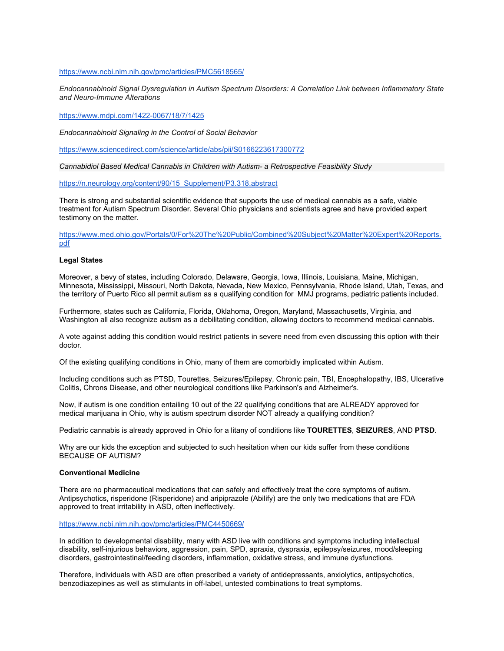<https://www.ncbi.nlm.nih.gov/pmc/articles/PMC5618565/>

*Endocannabinoid Signal Dysregulation in Autism Spectrum Disorders: A Correlation Link between Inflammatory State and Neuro-Immune Alterations*

<https://www.mdpi.com/1422-0067/18/7/1425>

*Endocannabinoid Signaling in the Control of Social Behavior*

<https://www.sciencedirect.com/science/article/abs/pii/S0166223617300772>

*Cannabidiol Based Medical Cannabis in Children with Autism- a Retrospective Feasibility Study*

[https://n.neurology.org/content/90/15\\_Supplement/P3.318.abstract](https://n.neurology.org/content/90/15_Supplement/P3.318.abstract)

There is strong and substantial scientific evidence that supports the use of medical cannabis as a safe, viable treatment for Autism Spectrum Disorder. Several Ohio physicians and scientists agree and have provided expert testimony on the matter.

[https://www.med.ohio.gov/Portals/0/For%20The%20Public/Combined%20Subject%20Matter%20Expert%20Reports.](https://www.med.ohio.gov/Portals/0/For%20The%20Public/Combined%20Subject%20Matter%20Expert%20Reports.pdf) [pdf](https://www.med.ohio.gov/Portals/0/For%20The%20Public/Combined%20Subject%20Matter%20Expert%20Reports.pdf)

#### **Legal States**

Moreover, a bevy of states, including Colorado, Delaware, Georgia, Iowa, Illinois, Louisiana, Maine, Michigan, Minnesota, Mississippi, Missouri, North Dakota, Nevada, New Mexico, Pennsylvania, Rhode Island, Utah, Texas, and the territory of Puerto Rico all permit autism as a qualifying condition for MMJ programs, pediatric patients included.

Furthermore, states such as California, Florida, Oklahoma, Oregon, Maryland, Massachusetts, Virginia, and Washington all also recognize autism as a debilitating condition, allowing doctors to recommend medical cannabis.

A vote against adding this condition would restrict patients in severe need from even discussing this option with their doctor.

Of the existing qualifying conditions in Ohio, many of them are comorbidly implicated within Autism.

Including conditions such as PTSD, Tourettes, Seizures/Epilepsy, Chronic pain, TBI, Encephalopathy, IBS, Ulcerative Colitis, Chrons Disease, and other neurological conditions like Parkinson's and Alzheimer's.

Now, if autism is one condition entailing 10 out of the 22 qualifying conditions that are ALREADY approved for medical marijuana in Ohio, why is autism spectrum disorder NOT already a qualifying condition?

Pediatric cannabis is already approved in Ohio for a litany of conditions like **TOURETTES**, **SEIZURES**, AND **PTSD**.

Why are our kids the exception and subjected to such hesitation when our kids suffer from these conditions BECAUSE OF AUTISM?

# **Conventional Medicine**

There are no pharmaceutical medications that can safely and effectively treat the core symptoms of autism. Antipsychotics, risperidone (Risperidone) and aripiprazole (Abilify) are the only two medications that are FDA approved to treat irritability in ASD, often ineffectively.

<https://www.ncbi.nlm.nih.gov/pmc/articles/PMC4450669/>

In addition to developmental disability, many with ASD live with conditions and symptoms including intellectual disability, self-injurious behaviors, aggression, pain, SPD, apraxia, dyspraxia, epilepsy/seizures, mood/sleeping disorders, gastrointestinal/feeding disorders, inflammation, oxidative stress, and immune dysfunctions.

Therefore, individuals with ASD are often prescribed a variety of antidepressants, anxiolytics, antipsychotics, benzodiazepines as well as stimulants in off-label, untested combinations to treat symptoms.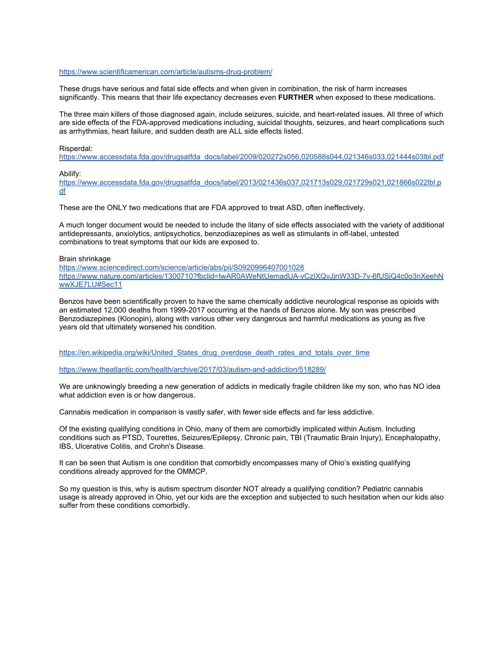# <https://www.scientificamerican.com/article/autisms-drug-problem/>

These drugs have serious and fatal side effects and when given in combination, the risk of harm increases significantly. This means that their life expectancy decreases even **FURTHER** when exposed to these medications.

The three main killers of those diagnosed again, include seizures, suicide, and heart-related issues. All three of which are side effects of the FDA-approved medications including, suicidal thoughts, seizures, and heart complications such as arrhythmias, heart failure, and sudden death are ALL side effects listed.

# Risperdal:

[https://www.accessdata.fda.gov/drugsatfda\\_docs/label/2009/020272s056,020588s044,021346s033,021444s03lbl.pdf](https://www.accessdata.fda.gov/drugsatfda_docs/label/2009/020272s056,020588s044,021346s033,021444s03lbl.pdf)

Abilify:

[https://www.accessdata.fda.gov/drugsatfda\\_docs/label/2013/021436s037,021713s029,021729s021,021866s022lbl.p](https://www.accessdata.fda.gov/drugsatfda_docs/label/2013/021436s037,021713s029,021729s021,021866s022lbl.pdf) [df](https://www.accessdata.fda.gov/drugsatfda_docs/label/2013/021436s037,021713s029,021729s021,021866s022lbl.pdf)

These are the ONLY two medications that are FDA approved to treat ASD, often ineffectively.

A much longer document would be needed to include the litany of side effects associated with the variety of additional antidepressants, anxiolytics, antipsychotics, benzodiazepines as well as stimulants in off-label, untested combinations to treat symptoms that our kids are exposed to.

#### Brain shrinkage

<https://www.sciencedirect.com/science/article/abs/pii/S0920996407001028> [https://www.nature.com/articles/1300710?fbclid=IwAR0AWeNtUemadUA-vCzIXQvJjnW33D-7v-6fUSjQ4c0o3nXeehN](https://www.nature.com/articles/1300710?fbclid=IwAR0AWeNtUemadUA-vCzIXQvJjnW33D-7v-6fUSjQ4c0o3nXeehNwwXJE7LU#Sec11) [wwXJE7LU#Sec11](https://www.nature.com/articles/1300710?fbclid=IwAR0AWeNtUemadUA-vCzIXQvJjnW33D-7v-6fUSjQ4c0o3nXeehNwwXJE7LU#Sec11)

Benzos have been scientifically proven to have the same chemically addictive neurological response as opioids with an estimated 12,000 deaths from 1999-2017 occurring at the hands of Benzos alone. My son was prescribed Benzodiazepines (Klonopin), along with various other very dangerous and harmful medications as young as five years old that ultimately worsened his condition.

[https://en.wikipedia.org/wiki/United\\_States\\_drug\\_overdose\\_death\\_rates\\_and\\_totals\\_over\\_time](https://en.wikipedia.org/wiki/United_States_drug_overdose_death_rates_and_totals_over_time)

<https://www.theatlantic.com/health/archive/2017/03/autism-and-addiction/518289/>

We are unknowingly breeding a new generation of addicts in medically fragile children like my son, who has NO idea what addiction even is or how dangerous.

Cannabis medication in comparison is vastly safer, with fewer side effects and far less addictive.

Of the existing qualifying conditions in Ohio, many of them are comorbidly implicated within Autism. Including conditions such as PTSD, Tourettes, Seizures/Epilepsy, Chronic pain, TBI (Traumatic Brain Injury), Encephalopathy, IBS, Ulcerative Colitis, and Crohn's Disease.

It can be seen that Autism is one condition that comorbidly encompasses many of Ohio's existing qualifying conditions already approved for the OMMCP.

So my question is this, why is autism spectrum disorder NOT already a qualifying condition? Pediatric cannabis usage is already approved in Ohio, yet our kids are the exception and subjected to such hesitation when our kids also suffer from these conditions comorbidly.